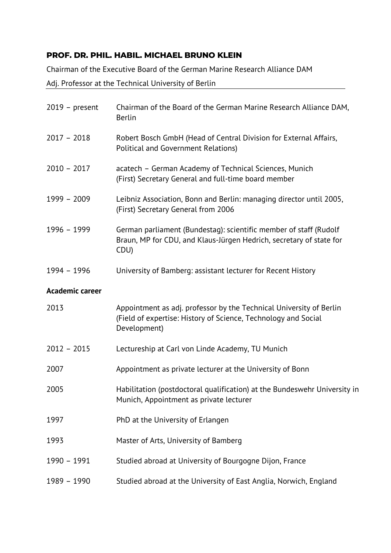## **PROF. DR. PHIL. HABIL. MICHAEL BRUNO KLEIN**

Chairman of the Executive Board of the German Marine Research Alliance DAM

## Adj. Professor at the Technical University of Berlin

| $2019$ – present       | Chairman of the Board of the German Marine Research Alliance DAM,<br><b>Berlin</b>                                                                    |
|------------------------|-------------------------------------------------------------------------------------------------------------------------------------------------------|
| $2017 - 2018$          | Robert Bosch GmbH (Head of Central Division for External Affairs,<br>Political and Government Relations)                                              |
| $2010 - 2017$          | acatech - German Academy of Technical Sciences, Munich<br>(First) Secretary General and full-time board member                                        |
| 1999 - 2009            | Leibniz Association, Bonn and Berlin: managing director until 2005,<br>(First) Secretary General from 2006                                            |
| 1996 - 1999            | German parliament (Bundestag): scientific member of staff (Rudolf<br>Braun, MP for CDU, and Klaus-Jürgen Hedrich, secretary of state for<br>CDU)      |
| 1994 - 1996            | University of Bamberg: assistant lecturer for Recent History                                                                                          |
| <b>Academic career</b> |                                                                                                                                                       |
| 2013                   | Appointment as adj. professor by the Technical University of Berlin<br>(Field of expertise: History of Science, Technology and Social<br>Development) |
| $2012 - 2015$          | Lectureship at Carl von Linde Academy, TU Munich                                                                                                      |
| 2007                   | Appointment as private lecturer at the University of Bonn                                                                                             |
| 2005                   | Habilitation (postdoctoral qualification) at the Bundeswehr University in<br>Munich, Appointment as private lecturer                                  |
| 1997                   | PhD at the University of Erlangen                                                                                                                     |
| 1993                   | Master of Arts, University of Bamberg                                                                                                                 |
| 1990 - 1991            | Studied abroad at University of Bourgogne Dijon, France                                                                                               |
| 1989 - 1990            | Studied abroad at the University of East Anglia, Norwich, England                                                                                     |